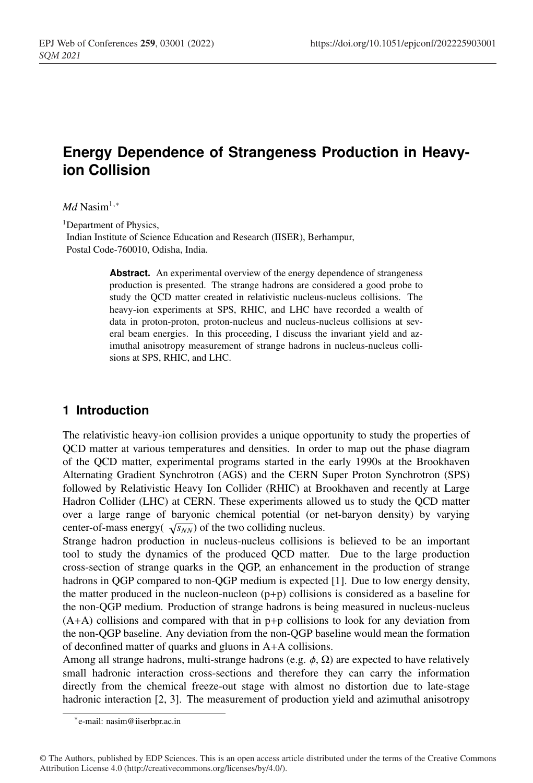# **Energy Dependence of Strangeness Production in Heavyion Collision**

#### *Md* Nasim<sup>1,∗</sup>

<sup>1</sup>Department of Physics,

Indian Institute of Science Education and Research (IISER), Berhampur, Postal Code-760010, Odisha, India.

> Abstract. An experimental overview of the energy dependence of strangeness production is presented. The strange hadrons are considered a good probe to study the QCD matter created in relativistic nucleus-nucleus collisions. The heavy-ion experiments at SPS, RHIC, and LHC have recorded a wealth of data in proton-proton, proton-nucleus and nucleus-nucleus collisions at several beam energies. In this proceeding, I discuss the invariant yield and azimuthal anisotropy measurement of strange hadrons in nucleus-nucleus collisions at SPS, RHIC, and LHC.

# **1 Introduction**

The relativistic heavy-ion collision provides a unique opportunity to study the properties of QCD matter at various temperatures and densities. In order to map out the phase diagram of the QCD matter, experimental programs started in the early 1990s at the Brookhaven Alternating Gradient Synchrotron (AGS) and the CERN Super Proton Synchrotron (SPS) followed by Relativistic Heavy Ion Collider (RHIC) at Brookhaven and recently at Large Hadron Collider (LHC) at CERN. These experiments allowed us to study the QCD matter over a large range of baryonic chemical potential (or net-baryon density) by varying center-of-mass energy( $\sqrt{s_{NN}}$ ) of the two colliding nucleus.

Strange hadron production in nucleus-nucleus collisions is believed to be an important tool to study the dynamics of the produced QCD matter. Due to the large production cross-section of strange quarks in the QGP, an enhancement in the production of strange hadrons in QGP compared to non-QGP medium is expected [1]. Due to low energy density, the matter produced in the nucleon-nucleon  $(p+p)$  collisions is considered as a baseline for the non-QGP medium. Production of strange hadrons is being measured in nucleus-nucleus (A+A) collisions and compared with that in p+p collisions to look for any deviation from the non-QGP baseline. Any deviation from the non-QGP baseline would mean the formation of deconfined matter of quarks and gluons in A+A collisions.

Among all strange hadrons, multi-strange hadrons (e.g.  $\phi$ ,  $\Omega$ ) are expected to have relatively small hadronic interaction cross-sections and therefore they can carry the information directly from the chemical freeze-out stage with almost no distortion due to late-stage hadronic interaction [2, 3]. The measurement of production yield and azimuthal anisotropy

<sup>∗</sup>e-mail: nasim@iiserbpr.ac.in

<sup>©</sup> The Authors, published by EDP Sciences. This is an open access article distributed under the terms of the Creative Commons Attribution License 4.0 (http://creativecommons.org/licenses/by/4.0/).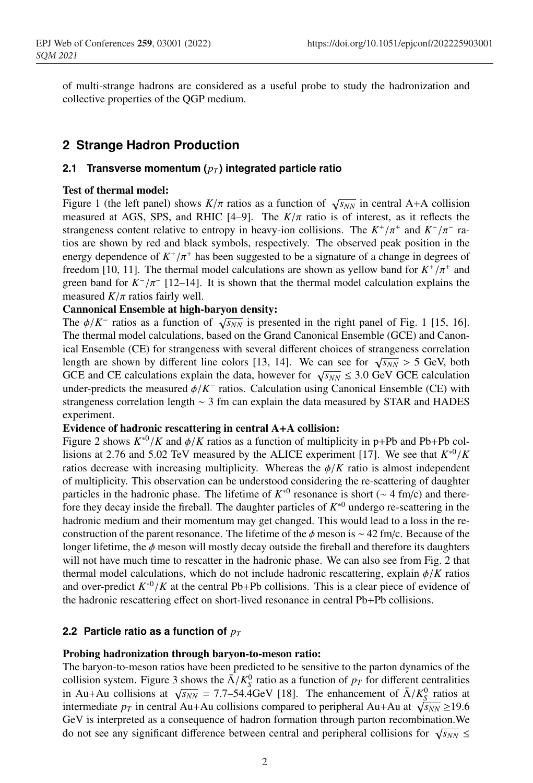of multi-strange hadrons are considered as a useful probe to study the hadronization and collective properties of the QGP medium.

# **2 Strange Hadron Production**

### **2.1 Transverse momentum**  $(p_T)$  integrated particle ratio

### Test of thermal model:

Figure 1 (the left panel) shows  $K/\pi$  ratios as a function of  $\sqrt{s_{NN}}$  in central A+A collision measured at AGS, SPS, and RHIC [4–9]. The  $K/\pi$  ratio is of interest, as it reflects the strangeness content relative to entropy in heavy-ion collisions. The  $K^+/\pi^+$  and  $K^-/\pi^-$  ratios are shown by red and black symbols, respectively. The observed peak position in the energy dependence of  $K^+/\pi^+$  has been suggested to be a signature of a change in degrees of freedom [10, 11]. The thermal model calculations are shown as yellow band for  $K^+/\pi^+$  and green band for  $K^{-}/\pi^{-}$  [12–14]. It is shown that the thermal model calculation explains the measured  $K/\pi$  ratios fairly well.

### Cannonical Ensemble at high-baryon density:

The  $\phi/K^-$  ratios as a function of  $\sqrt{s_{NN}}$  is presented in the right panel of Fig. 1 [15, 16]. The thermal model calculations, based on the Grand Canonical Ensemble (GCE) and Canonical Ensemble (CE) for strangeness with several different choices of strangeness correlation length are shown by different line colors [13, 14]. We can see for  $\sqrt{s_{NN}} > 5$  GeV, both GCE and CE calculations explain the data, however for  $\sqrt{s_{NN}} \leq 3.0$  GeV GCE calculation under-predicts the measured  $\phi/K^-$  ratios. Calculation using Canonical Ensemble (CE) with strangeness correlation length ∼ 3 fm can explain the data measured by STAR and HADES experiment.

#### Evidence of hadronic rescattering in central A+A collision:

Figure 2 shows  $K^{*0}/K$  and  $\phi/K$  ratios as a function of multiplicity in p+Pb and Pb+Pb collisions at 2.76 and 5.02 TeV measured by the ALICE experiment [17]. We see that  $K^{*0}/K$ ratios decrease with increasing multiplicity. Whereas the  $\phi/K$  ratio is almost independent of multiplicity. This observation can be understood considering the re-scattering of daughter particles in the hadronic phase. The lifetime of  $K^{*0}$  resonance is short ( $\sim 4$  fm/c) and therefore they decay inside the fireball. The daughter particles of *K*∗<sup>0</sup> undergo re-scattering in the hadronic medium and their momentum may get changed. This would lead to a loss in the reconstruction of the parent resonance. The lifetime of the  $\phi$  meson is ∼ 42 fm/c. Because of the longer lifetime, the  $\phi$  meson will mostly decay outside the fireball and therefore its daughters will not have much time to rescatter in the hadronic phase. We can also see from Fig. 2 that thermal model calculations, which do not include hadronic rescattering, explain φ/*K* ratios and over-predict  $K^{*0}/K$  at the central Pb+Pb collisions. This is a clear piece of evidence of the hadronic rescattering effect on short-lived resonance in central Pb+Pb collisions.

# **2.2 Particle ratio as a function of**  $p_T$

# Probing hadronization through baryon-to-meson ratio:

The baryon-to-meson ratios have been predicted to be sensitive to the parton dynamics of the collision system. Figure 3 shows the  $\bar{\Lambda}/K_S^0$  ratio as a function of  $p_T$  for different centralities in Au+Au collisions at  $\sqrt{s_{NN}} = 7.7 - 54.4$  GeV [18]. The enhancement of  $\bar{\Lambda}/K_S^0$  ratios at intermediate  $p_T$  in central Au+Au collisions compared to peripheral Au+Au at  $\sqrt{s_{NN}} \ge 19.6$ GeV is interpreted as a consequence of hadron formation through parton recombination.We do not see any significant difference between central and peripheral collisions for  $\sqrt{s_{NN}} \leq$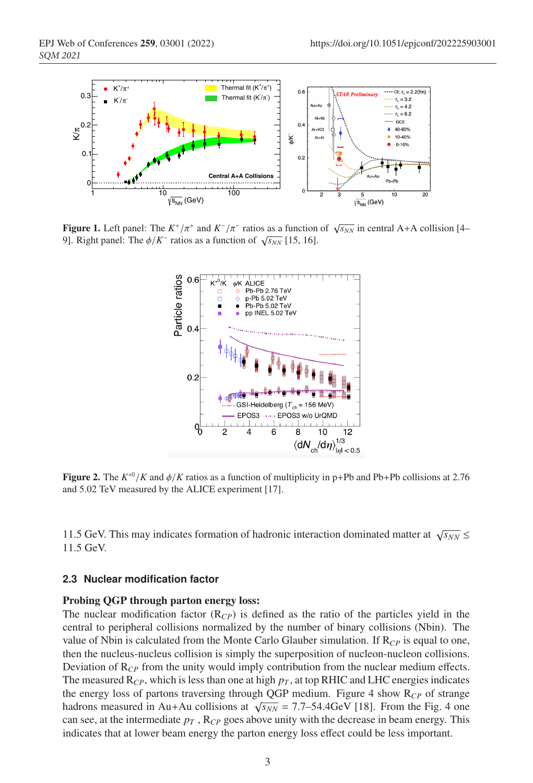

**Figure 1.** Left panel: The  $K^+/\pi^+$  and  $K^-/\pi^-$  ratios as a function of  $\sqrt{s_{NN}}$  in central A+A collision [4– 9]. Right panel: The  $\phi/K^-$  ratios as a function of  $\sqrt{s_{NN}}$  [15, 16].



**Figure 2.** The  $K^{*0}/K$  and  $\phi/K$  ratios as a function of multiplicity in p+Pb and Pb+Pb collisions at 2.76 and 5.02 TeV measured by the ALICE experiment [17].

11.5 GeV. This may indicates formation of hadronic interaction dominated matter at  $\sqrt{s_{NN}} \leq$ 11.5 GeV.

#### **2.3 Nuclear modification factor**

#### Probing QGP through parton energy loss:

The nuclear modification factor (R*CP*) is defined as the ratio of the particles yield in the central to peripheral collisions normalized by the number of binary collisions (Nbin). The value of Nbin is calculated from the Monte Carlo Glauber simulation. If  $R_{CP}$  is equal to one, then the nucleus-nucleus collision is simply the superposition of nucleon-nucleon collisions. Deviation of R*CP* from the unity would imply contribution from the nuclear medium effects. The measured  $R_{CP}$ , which is less than one at high  $p<sub>T</sub>$ , at top RHIC and LHC energies indicates the energy loss of partons traversing through QGP medium. Figure 4 show  $R_{CP}$  of strange hadrons measured in Au+Au collisions at  $\sqrt{s_{NN}}$  = 7.7–54.4GeV [18]. From the Fig. 4 one can see, at the intermediate  $p_T$ ,  $R_{CP}$  goes above unity with the decrease in beam energy. This indicates that at lower beam energy the parton energy loss effect could be less important.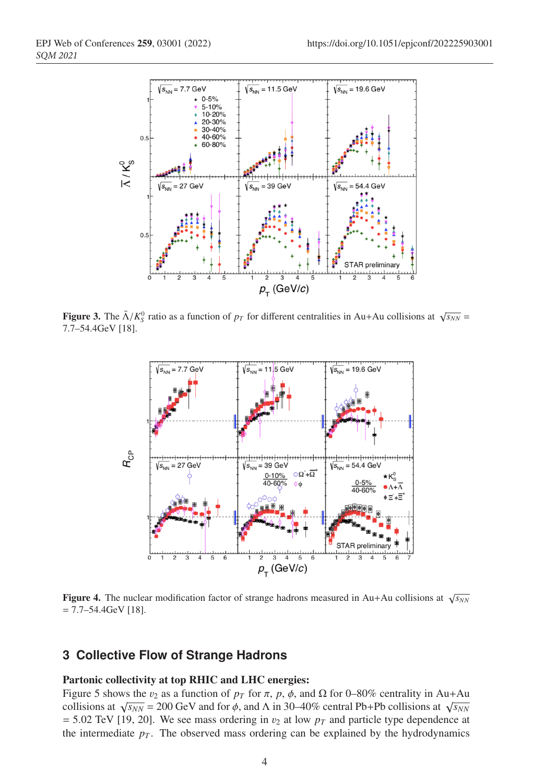

**Figure 3.** The  $\bar{\Lambda}/K_S^0$  ratio as a function of  $p_T$  for different centralities in Au+Au collisions at  $\sqrt{s_{NN}}$  = 7.7–54.4GeV [18].



Figure 4. The nuclear modification factor of strange hadrons measured in Au+Au collisions at  $\sqrt{s_{NN}}$  $= 7.7 - 54.4$ GeV [18].

# **3 Collective Flow of Strange Hadrons**

#### Partonic collectivity at top RHIC and LHC energies:

Figure 5 shows the  $v_2$  as a function of  $p_T$  for  $\pi$ ,  $p$ ,  $\phi$ , and  $\Omega$  for 0–80% centrality in Au+Au collisions at  $\sqrt{s_{NN}}$  = 200 GeV and for  $\phi$ , and  $\Lambda$  in 30–40% central Pb+Pb collisions at  $\sqrt{s_{NN}}$  $= 5.02$  TeV [19, 20]. We see mass ordering in  $v_2$  at low  $p_T$  and particle type dependence at the intermediate  $p<sub>T</sub>$ . The observed mass ordering can be explained by the hydrodynamics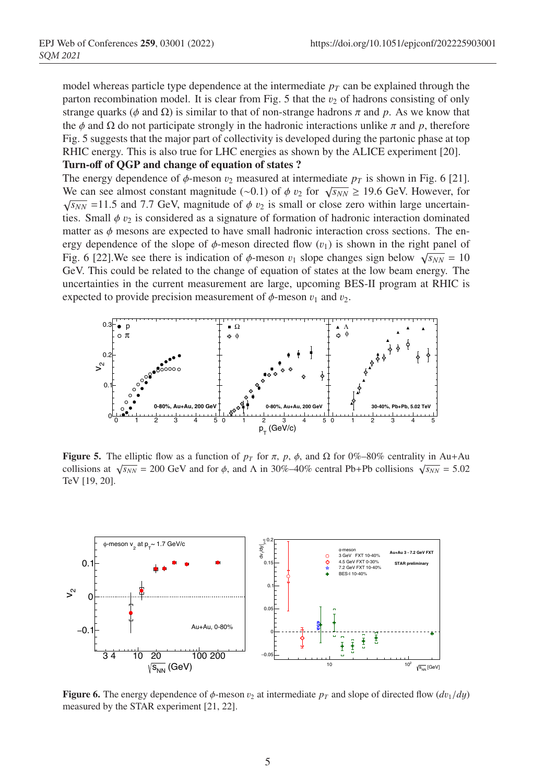model whereas particle type dependence at the intermediate  $p<sub>T</sub>$  can be explained through the parton recombination model. It is clear from Fig. 5 that the  $v_2$  of hadrons consisting of only strange quarks ( $\phi$  and  $\Omega$ ) is similar to that of non-strange hadrons  $\pi$  and  $p$ . As we know that the  $\phi$  and  $\Omega$  do not participate strongly in the hadronic interactions unlike  $\pi$  and  $p$ , therefore Fig. 5 suggests that the major part of collectivity is developed during the partonic phase at top RHIC energy. This is also true for LHC energies as shown by the ALICE experiment [20]. Turn-off of QGP and change of equation of states ?

The energy dependence of  $\phi$ -meson  $v_2$  measured at intermediate  $p_T$  is shown in Fig. 6 [21]. We can see almost constant magnitude (∼0.1) of  $\phi$  v<sub>2</sub> for  $\sqrt{s_{NN}} \ge 19.6$  GeV. However, for  $\sqrt{s_{NN}}$  =11.5 and 7.7 GeV, magnitude of  $\phi$  v<sub>2</sub> is small or close zero within large uncertainties. Small  $\phi$  v<sub>2</sub> is considered as a signature of formation of hadronic interaction dominated matter as  $\phi$  mesons are expected to have small hadronic interaction cross sections. The energy dependence of the slope of  $\phi$ -meson directed flow  $(v_1)$  is shown in the right panel of Fig. 6 [22]. We see there is indication of  $\phi$ -meson  $v_1$  slope changes sign below  $\sqrt{s_{NN}} = 10$ GeV. This could be related to the change of equation of states at the low beam energy. The uncertainties in the current measurement are large, upcoming BES-II program at RHIC is expected to provide precision measurement of  $\phi$ -meson  $v_1$  and  $v_2$ .



**Figure 5.** The elliptic flow as a function of  $p_T$  for  $\pi$ ,  $p$ ,  $\phi$ , and  $\Omega$  for 0%–80% centrality in Au+Au collisions at  $\sqrt{s_{NN}}$  = 200 GeV and for  $\phi$ , and  $\Lambda$  in 30%–40% central Pb+Pb collisions  $\sqrt{s_{NN}}$  = 5.02 TeV [19, 20].



**Figure 6.** The energy dependence of  $\phi$ -meson  $v_2$  at intermediate  $p_T$  and slope of directed flow  $(dv_1/dy)$ measured by the STAR experiment [21, 22].